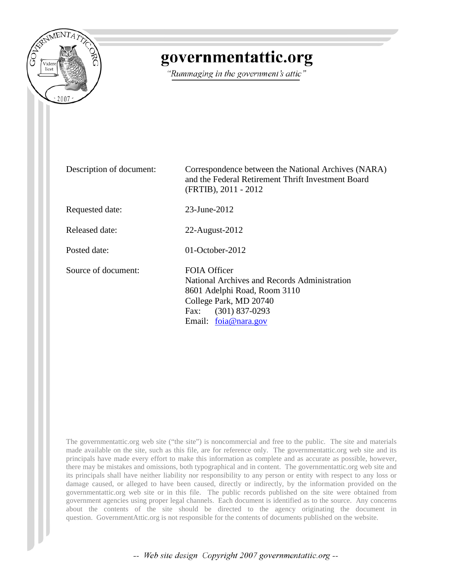

## governmentattic.org

"Rummaging in the government's attic"

Description of document: Correspondence between the National Archives (NARA) and the Federal Retirement Thrift Investment Board (FRTIB), 2011 - 2012 Requested date: 23-June-2012 Released date: 22-August-2012 Posted date: 01-October-2012 Source of document: FOIA Officer National Archives and Records Administration 8601 Adelphi Road, Room 3110 College Park, MD 20740 Fax: (301) 837-0293 Email: [foia@nara.gov](mailto:foia@nara.gov?subject=FOIA%20Request)

The governmentattic.org web site ("the site") is noncommercial and free to the public. The site and materials made available on the site, such as this file, are for reference only. The governmentattic.org web site and its principals have made every effort to make this information as complete and as accurate as possible, however, there may be mistakes and omissions, both typographical and in content. The governmentattic.org web site and its principals shall have neither liability nor responsibility to any person or entity with respect to any loss or damage caused, or alleged to have been caused, directly or indirectly, by the information provided on the governmentattic.org web site or in this file. The public records published on the site were obtained from government agencies using proper legal channels. Each document is identified as to the source. Any concerns about the contents of the site should be directed to the agency originating the document in question. GovernmentAttic.org is not responsible for the contents of documents published on the website.

-- Web site design Copyright 2007 governmentattic.org --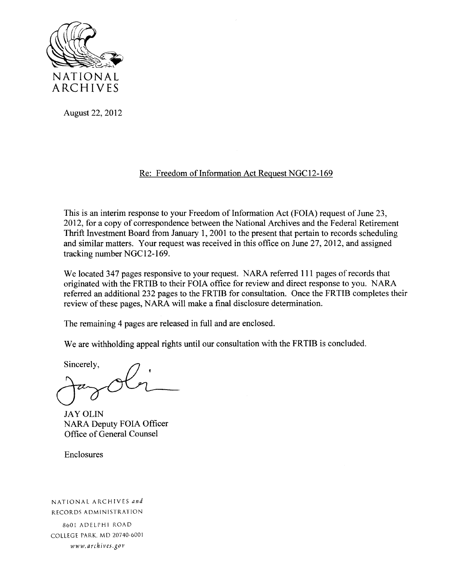

August 22, 2012

## Re: Freedom of Information Act Request NGC12-169

This is an interim response to your Freedom of Information Act (FOIA) request of June 23, 2012, for a copy of correspondence between the National Archives and the Federal Retirement Thrift Investment Board from January 1, 2001 to the present that pertain to records scheduling and similar matters. Your request was received in this office on June 27, 2012, and assigned tracking number NGC12-169.

We located 347 pages responsive to your request. NARA referred 111 pages of records that originated with the FRTIB to their FOIA office for review and direct response to you. NARA referred an additional232 pages to the FRTIB for consultation. Once the FRTIB completes their review of these pages, NARA will make a final disclosure determination.

The remaining 4 pages are released in full and are enclosed.

We are withholding appeal rights until our consultation with the FRTIB is concluded.

Sincerely,

JAY OLIN NARA Deputy FOIA Officer Office of General Counsel

Enclosures

NATIONAL ARCHIVES *and*  RECORDS ADMINISTRATION

8601 ADELPHI ROAD COLLEGE PARK. MD 20740-6001 *www. archives .gov*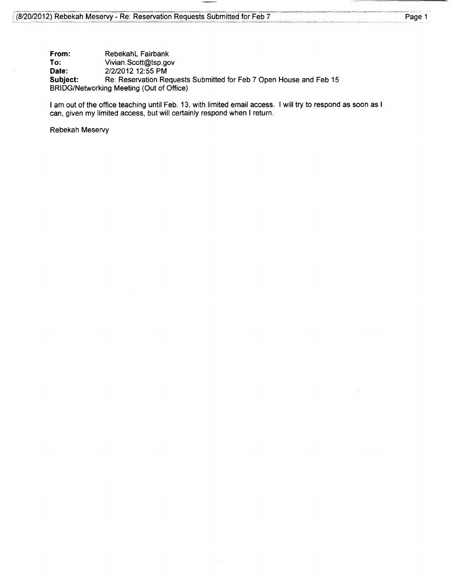**From:** Rebekahl Fairbank<br> **To:** Vivian.Scott@tsp.go **To: Vivian.Scott@tsp.gov**<br>**Date:** 2/2/2012 12:55 PM **Date:** 2/2/2012 12:55 PM<br> **Subject:** Re: Reservation Re Re: Reservation Requests Submitted for Feb 7 Open House and Feb 15 BRIDG/Networking Meeting (Out of Office)

I am out of the office teaching until Feb. 13, with limited email access. I will try to respond as soon as I can, given my limited access, but will certainly respond when I return.

Rebekah Meservy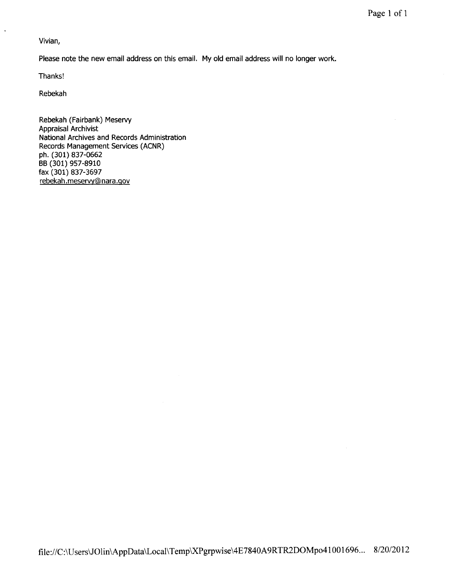Vivian,

 $\ddot{\phantom{1}}$ 

Please note the new email address on this email. My old email address will no longer work.

Thanks!

Rebekah

Rebekah (Fairbank) Meservy Appraisal Archivist National Archives and Records Administration Records Management Services (ACNR) ph. (301) 837-0662 BB (301) 957-8910 fax (301) 837-3697 rebekah. meservy@ nara .gov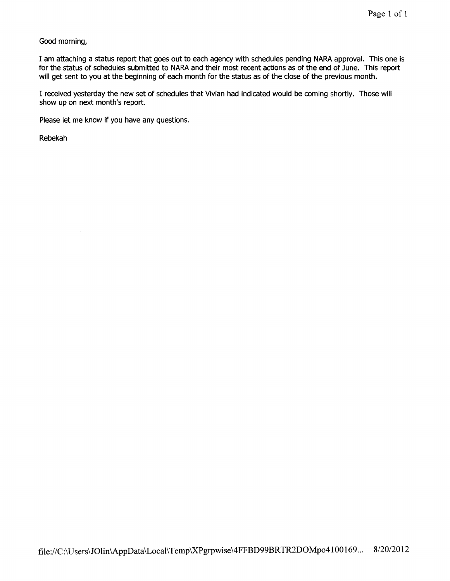Good morning,

I am attaching a status report that goes out to each agency with schedules pending NARA approval. This one is for the status of schedules submitted to NARA and their most recent actions as of the end of June. This report will get sent to you at the beginning of each month for the status as of the close of the previous month.

I received yesterday the new set of schedules that Vivian had indicated would be coming shortly. Those will show up on next month's report.

Please let me know if you have any questions.

Rebekah